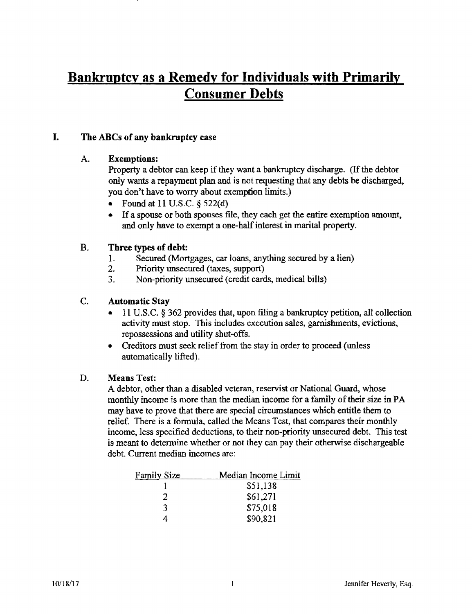# Bankruptcy as a Remedy for Individuals with Primarily Consumer Debts

### I. The ABCs of any bankruptcy case

#### A. Exemptions:

Property a debtor can keep if they want a bankruptcy discharge. (If the debtor only wants a repayment plan and is not requesting that any debts be discharged, you don't have to worry about exemption limits.)

- Found at 11 U.S.C.  $\S$  522(d)
- If a spouse or both spouses file, they each get the entire exemption amount, and only have to exempt a one-half interest in marital property.

### B. Three types of debt:

- 1. Secured (Mortgages, car loans, anything secured by a lien)
- 2. Priority unsecured (taxes, support)
- 3. Non-priority unsecured (credit cards, medical bills)

### C. Automatic Stay

- 11 U.S.C.  $\S 362$  provides that, upon filing a bankruptcy petition, all collection activity must stop. This includes execution sales, garnishments, evictions, repossessions and utility shut-offs.
- Creditors must seek relief from the stay in order to proceed (unless automatically lifted).

#### D. Means Test:

A debtor, other than a disabled veteran, reservist or National Guard, whose monthly income is more than the median income for a family of their size in PA may have to prove that there are special circumstances which entitle them to relief. There is a formula, called the Means Test, that compares their monthly income, less specified deductions, to their non-priority unsecured debt. This test is meant to detennine whether or not they can pay their otherwise dischargeable debt. Current median incomes are:

| <b>Family Size</b> | Median Income Limit |
|--------------------|---------------------|
|                    | \$51,138            |
| 7                  | \$61,271            |
| -3.                | \$75,018            |
|                    | \$90,821            |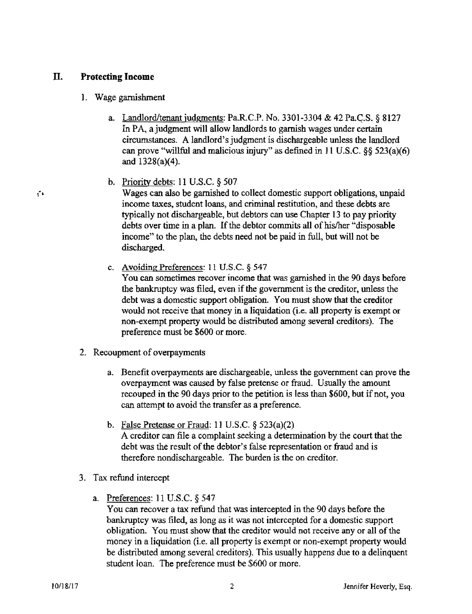### II. Protecting Income

#### 1. Wage garnishment

- a. Landlord/tenant iudgments: Pa.R.C.P. No. 3301-3304 & 42 Pa.C.S. § 8127 In PA, a judgment will allow landlords to garnish wages under certain circumstances. A landlord's judgment is dischargeable unless the landlord can prove "willful and malicious injury" as defined in 11 U.S.C.  $\S$ § 523(a)(6) and 1328(a)(4).
- b. Priority debts: 11 U.S.C. § 507

! .... Wages can also be garnished to collect domestic support obligations, unpaid income taxes. student loans, and criminal restitution, and these debts are typically not dischargeable, but debtors can use Chapter 13 to pay priority debts over time in a plan. If the debtor commits all of his/her "disposable" income" to the plan, the debts need not he paid in full, but will not be discharged.

c. Avoiding Preferences: 11 U.S.C. § 547

You can sometimes recover income that was garnished in the 90 days before the bankruptcy was filed, even if the government is the creditor, unless the debt was a domestic support obligation. You must show that the creditor would not receive that money in a liquidation (*i.e. all property is exempt or* non-exempt property would be distributed among several creditors). The preference must be \$600 or more.

- 2. Recoupment of overpayments
	- a. Benefit overpayments are dischargeable, unless the government can prove the overpayment was caused by false pretense or fraud. Usually the amount recouped in the 90 days prior to the petition is less than \$600, but if not, you can attempt to avoid the transfer as a preference.
	- b. False Pretense or Fraud: 11 U.S.C. § 523(a)(2) A creditor can file a complaint seeking a determination by the court that the debt was the result of the debtor's false representation or fraud and is therefore nondischargeable. The burden is the on creditor.
- 3. Tax refund intercept
	- a. Preferences: 11 U.S.C. § 547

You can recover a tax refund that was intercepted in the 90 days before the bankruptcy was filed, as long as it was not intercepted for a domestic support obligation. You must show that the creditor would not receive any or all of the money in a liquidation (i.e. all property is exempt or non-exempt property would be distributed among several creditors). This usually happens due to a delinquent student loan. The preference must be \$600 or more.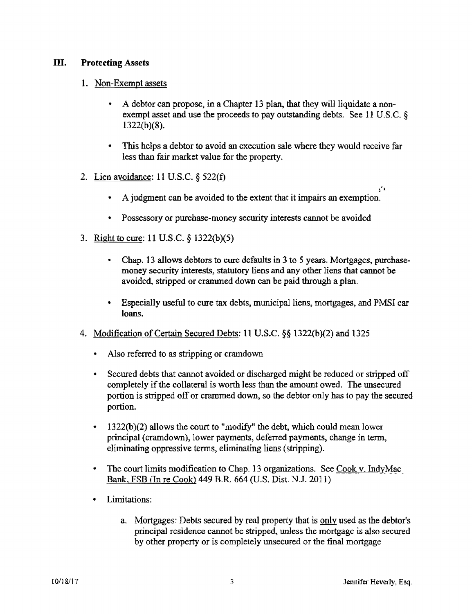#### Ill. Protecting Assets

#### 1. Non-Exempt assets

- A debtor can propose, in a Chapter 13 plan, that they will liquidate a nonexempt asset and use the proceeds to pay outstanding debts. See 11 U.S.C. §  $1322(b)(8)$ .
- This helps a debtor to avoid an execution sale where they would receive far less than fair market value for the property.
- 2. Lien avoidance: 11 U.S.C. § 522(t)
	- $\mathbf{g}^{\prime}$ • A judgment can be avoided to the extent that it impairs an exemption.
	- Possessory or purchase-money security interests cannot be avoided
- 3. Right to cure: 11 U.S.C. § 1322(b)(5)
	- Chap. 13 allows debtors to cure defaults in 3 to 5 years. Mortgages, purehasemoney security interests, statutory liens and any other liens that cannot be avoided, stripped or crammed down can be paid through a plan.
	- Especially useful to cure tax debts, municipal liens, mortgages, and PMSI car loans.
- 4. Modification of Certain Secured Debts: 11 U.S.C. §§ 1322(b )(2) and 1325
	- Also referred to as stripping or cramdown
	- Secured debts that cannot avoided or discharged might be reduced or stripped off completely if the collateral is worth less than the amount owed. The unsecured portion is stripped off or crammed down, so the debtor only has to pay the secured portion.
	- $1322(b)(2)$  allows the court to "modify" the debt, which could mean lower principal (cramdown), lower payments, deferred payments, change in term. eliminating oppressive terms, eliminating liens (stripping).
	- The court limits modification to Chap. 13 organizations. See Cook v. IndyMac Bank, FSB (In re Cook) 449 B.R 664 (U.S. Dist. N.J. 2011)
	- Limitations:
		- a. Mortgages: Debts secured by real property that is only used as the debtor's principal residence cannot be stripped, unless the mortgage is also secured by other property or is completely unsecured or the final mortgage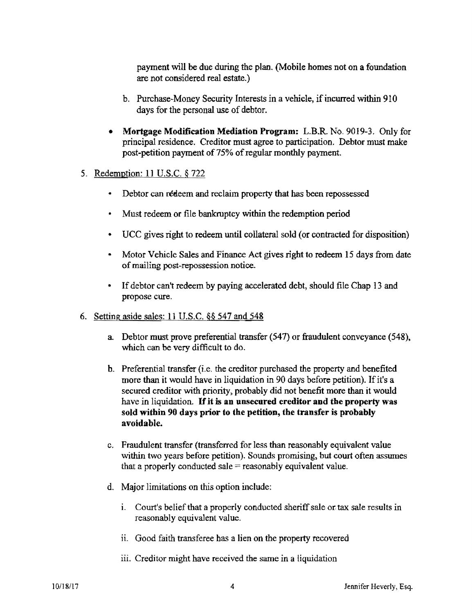payment will be due during the plan. (Mobile homes not on a foundation are not considered real estate.)

- b. Purchase-Money Security Interests in a vehicle, if incurred within 910 days for the personal use of debtor.
- Mortgage Modification Mediation Program: L.B.R. No. 9019-3. Only for principal residence. Creditor must agree to participation. Debtor must make post-petition payment of 75% of regular monthly payment.
- 5. Redemption: 11 U.S.c. § 722
	- Debtor can redeem and reclaim property that has been repossessed
	- Must redeem or file bankruptcy within the redemption period
	- UCC gives right to redeem until collateral sold (or contracted for disposition)
	- Motor Vehicle Sales and Finance Act gives right to redeem 15 days from date of mailing post-repossession notice.
	- If debtor can't redeem by paying accelerated debt, should file Chap 13 and propose cure.
- 6. Setting aside sales: 11 U.S.C. §§ 547 and 548
	- a Debtor must prove preferential transfer (547) or fraudulent conveyance (548), which can be very difficult to do.
	- b. Preferential transfer (i.e. the creditor purchased the property and benefited more than it would have in liquidation in 90 days before petition). If it's a secured creditor with priority, probably did not benefit more than it would have in liquidation. If it is an unsecured creditor and the property was sold within 90 days prior to the petition, the transfer is probably avoidable.
	- c. Fraudulent transfer (transferred for less than reasonably equivalent value within two years before petition). Sounds promising, but court often assumes that a properly conducted sale  $=$  reasonably equivalent value.
	- d. Major limitations on this option include:
		- i. Court's belief that a properly conducted sheriff sale or tax sale results in reasonably equivalent value.
		- ii. Good faith transferee has a lien on the property recovered
		- iii. Creditor might have received the same in a liquidation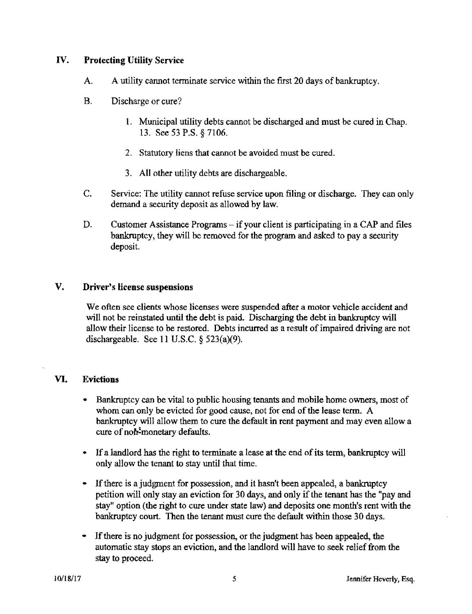#### IV. Protecting Utility Service

- A. A utility cannot terminate service within the ftrst 20 days of bankruptcy.
- B. Discharge or cure?
	- 1. Municipal utility debts cannot be discharged and must be cured in Chap. 13. See 53 P.S. § 7106.
	- 2. Statutory liens that cannot be avoided must be cured.
	- 3. All other utility debts are dischargeable.
- C. Service: The utility cannot refuse service upon filing or discharge. They can only demand a security deposit as allowed by law.
- D. Customer Assistance Programs if your client is participating in a CAP and files bankruptcy, they will be removed for the program and asked to pay a security deposit.

#### V. Driver's license suspensions

We often see clients whose licenses were suspended after a motor vehicle accident and will not be reinstated until the debt is paid. Discharging the debt in bankruptcy will allow their license to be restored. Debts incurred as a result of impaired driving are not dischargeable. See 11 U.S.C. § 523(a)(9).

#### VI. Evictions

- Bankruptcy can be vital to public housing tenants and mobile home owners, most of whom can only be evicted for good cause. not for end of the lease term. A bankruptcy will allow them to cure the default in rent payment and may even allow a cure of non-monetary defaults.
- If a landlord has the right to terminate a lease at the end of its term, bankruptcy will only allow the tenant to stay until that time.
- If there is a judgment for possession, and it hasn't been appealed, a bankruptcy petition will only stay an eviction for 30 days, and only if the tenant has the "pay and stay" option (the right to cure under state law) and deposits one month's rent with the bankruptcy court. Then the tenant must cure the default within those 30 days.
- If there is no judgment for possession, or the judgment has been appealed, the automatic stay stops an eviction. and the landlord will have to seek relief from the stay to proceed.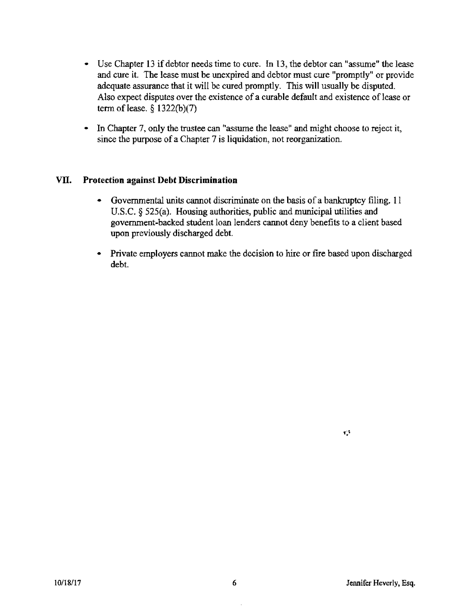- Use Chapter 13 if debtor needs time to cure. In 13, the debtor can "assume" the lease and cure it. The lease must be unexpired and debtor must cure "promptly" or provide adequate assurance that it will be cured promptly. This will usually be disputed. Also expect disputes over the existence of a curable default and existence of lease or term of lease.  $\frac{6}{322(b)(7)}$
- **In** Chapter 7, only the trustee can "assume the lease" and might choose to reject it, since the purpose of a Chapter 7 is liquidation, not reorganization.

#### **VII. Protection** against **Debt Discrimination**

- Governmental units cannot discriminate on the basis of a bankruptcy filing. 11 U.S.C.  $\S$  525(a). Housing authorities, public and municipal utilities and government-backed student loan lenders cannot deny benefits to a client based upon previously discharged debt.
- Private employers cannot make the decision to hire or fire based upon discharged debt.

 $\mathbf{L}^{\mathrm{H}}$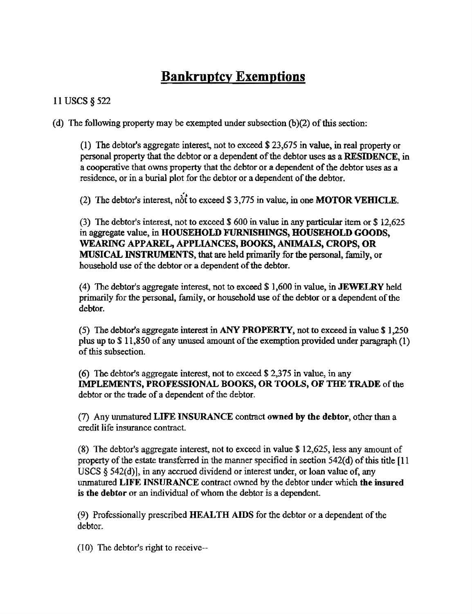# **Bankruptcy Exemptions**

## 11 USCS § 522

(d) The following property may be exempted under subsection  $(b)(2)$  of this section:

(1) The debtor's aggregate interest, not to exceed \$ 23,675 in value, in real property or personal property that the debtor or a dependent of the debtor uses as a RESIDENCE, in a cooperative that owns property that the debtor or a dependent of the debtor uses as a residence, or in a burial plot for the debtor or a dependent of the debtor.

(2) The debtor's interest, not to exceed \$ 3,775 in value, in one **MOTOR VEHICLE**.

(3) The debtor's interest, not to exceed \$ 600 in value in any particular item or \$ 12,625 in aggregate value, in HOUSEHOLD FURNISHINGS, HOUSEHOLD GOODS, WEARING APPAREL, APPLIANCES, BOOKS, ANIMALS, CROPS, OR MUSICAL INSTRUMENTS, that are held primarily for the personal, family, or household use of the debtor or a dependent of the debtor.

(4) The debtor's aggregate interest, not to exceed  $$1,600$  in value, in JEWELRY held primarily for the personal, family, or household use of the debtor or a dependent of the debtor.

(5) The debtor's aggregate interest in ANY PROPERTY, not to exceed in value \$ 1,250 plus up to \$ 11,850 of any unused amount of the exemption provided under paragraph (1) of this subsection.

(6) The debtor'S aggregate interest, not to exceed \$ 2.375 in value, in any IMPLEMENTS, PROFESSIONAL BOOKS, OR TOOLS, OF THE TRADE of the debtor or the trade of a dependent of the debtor.

(7) Any wunatured LIFE INSURANCE contract owned by the debtor, other than a credit life insurance contract.

(8) The debtor's aggregate interest. not to exceed in value \$ 12,625, less any amount of property of the estate transferred in the manner specified in section  $542(d)$  of this title [11] USCS  $\S$  542(d)], in any accrued dividend or interest under, or loan value of, any unmatured LIFE INSURANCE contract owned by the debtor under which the insured is the debtor or an individual of whom the debtor is a dependent.

(9) Professionally prescribed HEALTH AIDS for the debtor or a dependent of the debtor.

(10) The debtor's right to receive--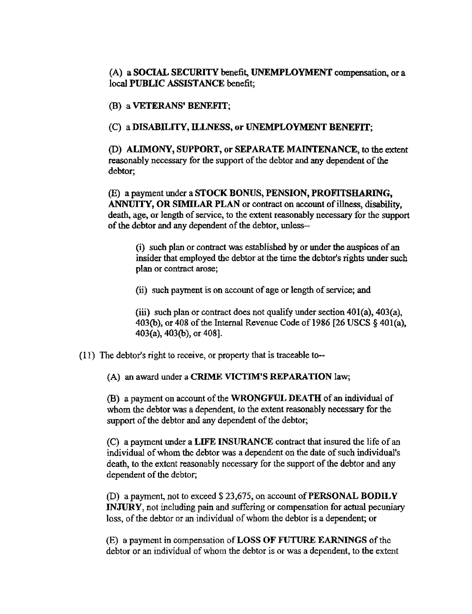(A) a SOCIAL SECURITY benefit, UNEMPLOYMENT compensation, or a local PUBLIC ASSISTANCE benefit;

(B) a VETERANS' BENEFIT;

(C) a DISABILITY, ILLNESS, or UNEMPLOYMENT BENEFIT;

(0) ALIMONY, SUPPORT, or SEPARATE MAINTENANCE, to the extent reasonably necessary for the support of the debtor and any dependent of the debtor;

(E) a payment under a STOCK BONUS, PENSION, PROFITSHARING, ANNUITY, OR SIMILAR PLAN or contract on account of illness, disability, death, age, or length of service, to the extent reasonably necessary for the support of the debtor and any dependent of the debtor, unless-

(i) such plan or contract was established by or under the auspices of an insider that employed the debtor at the time the debtor's rights under such plan or contract arose;

(ii) such payment is on account of age or length of service; and

(iii) such plan or contract does not qualify under section  $401(a)$ ,  $403(a)$ , 403(b), or 408 of the Internal Revenue Code of 1986 [26 USCS  $\S$  401(a), 403(a), 403(b), or 408].

(11) The debtor's right to receive, or property that is traceable to--

(A) an award under a CRIME VICTIM'S REPARATION law;

(B) a payment on account of the WRONGFUL DEATH of an individual of whom the debtor was a dependent, to the extent reasonably necessary for the support of the debtor and any dependent of the debtor;

(C) a payment under a LIFE INSURANCE contract that insured the life of an individual of whom the debtor was a dependent on the date of such individual's death, to the extent reasonably necessary for the support of the debtor and any dependent of the debtor;

(D) a payment, not to exceed \$ 23,675, on account of PERSONAL BODILY INJURY, not including pain and suffering or compensation for actual pecuniary loss, of the debtor or an individual of whom the debtor is a dependent; or

(E) a payment in compensation of LOSS OF FUTURE EARNINGS of the debtor or an individual of whom the debtor is or was a dependent, to the extent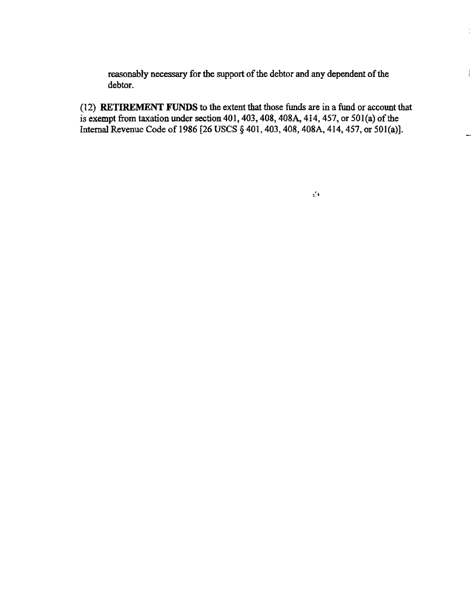reasonably necessary for the support of the debtor and any dependent of the debtor.

(12) RETIREMENT FUNDS to the extent that those funds are in a fund or account that is exempt from taxation under section 401, 403, 408, 408A, 414, 457, or 501(a) of the Internal Revenue Code of 1986 [26 USCS § 401, 403, 408, 408A, 414, 457, or 501(a)].

t

 $\frac{1}{4}$ 

L.